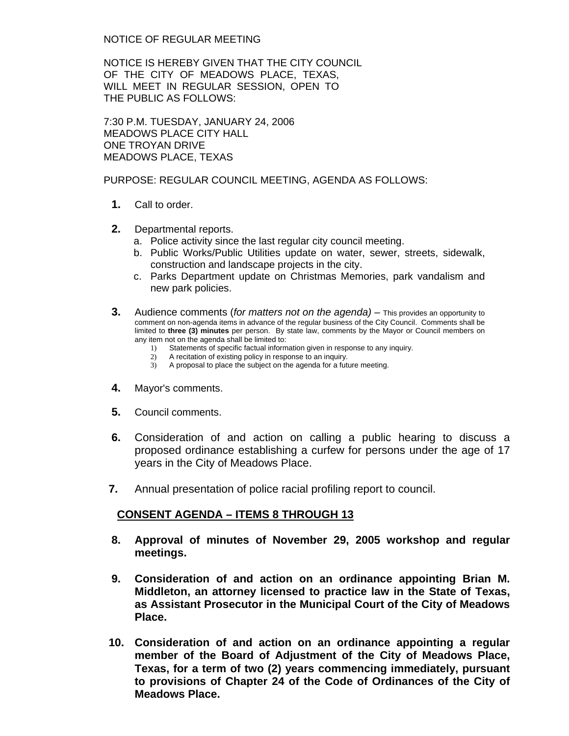NOTICE OF REGULAR MEETING

NOTICE IS HEREBY GIVEN THAT THE CITY COUNCIL OF THE CITY OF MEADOWS PLACE, TEXAS, WILL MEET IN REGULAR SESSION, OPEN TO THE PUBLIC AS FOLLOWS:

7:30 P.M. TUESDAY, JANUARY 24, 2006 MEADOWS PLACE CITY HALL ONE TROYAN DRIVE MEADOWS PLACE, TEXAS

PURPOSE: REGULAR COUNCIL MEETING, AGENDA AS FOLLOWS:

- **1.** Call to order.
- **2.** Departmental reports.
	- a. Police activity since the last regular city council meeting.
	- b. Public Works/Public Utilities update on water, sewer, streets, sidewalk, construction and landscape projects in the city.
	- c. Parks Department update on Christmas Memories, park vandalism and new park policies.
- **3.** Audience comments (*for matters not on the agenda)* This provides an opportunity to comment on non-agenda items in advance of the regular business of the City Council. Comments shall be limited to **three (3) minutes** per person. By state law, comments by the Mayor or Council members on any item not on the agenda shall be limited to:
	- 1) Statements of specific factual information given in response to any inquiry.
	- 2) A recitation of existing policy in response to an inquiry.
	- 3) A proposal to place the subject on the agenda for a future meeting.
- **4.** Mayor's comments.
- **5.** Council comments.
- **6.** Consideration of and action on calling a public hearing to discuss a proposed ordinance establishing a curfew for persons under the age of 17 years in the City of Meadows Place.
- **7.** Annual presentation of police racial profiling report to council.

## **CONSENT AGENDA – ITEMS 8 THROUGH 13**

- **8. Approval of minutes of November 29, 2005 workshop and regular meetings.**
- **9. Consideration of and action on an ordinance appointing Brian M. Middleton, an attorney licensed to practice law in the State of Texas, as Assistant Prosecutor in the Municipal Court of the City of Meadows Place.**
- **10. Consideration of and action on an ordinance appointing a regular member of the Board of Adjustment of the City of Meadows Place, Texas, for a term of two (2) years commencing immediately, pursuant to provisions of Chapter 24 of the Code of Ordinances of the City of Meadows Place.**